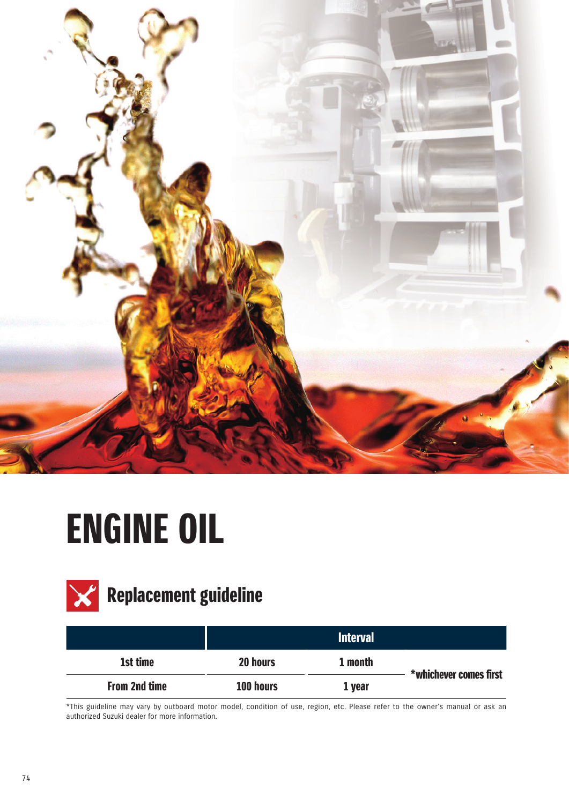

## ENGINE OIL



## $\mathbf{X}$  Replacement guideline

|                      |           | <b>Interval</b> |                        |
|----------------------|-----------|-----------------|------------------------|
| 1st time             | 20 hours  | 1 month         | *whichever comes first |
| <b>From 2nd time</b> | 100 hours | 1 year          |                        |

\*This guideline may vary by outboard motor model, condition of use, region, etc. Please refer to the owner's manual or ask an authorized Suzuki dealer for more information.